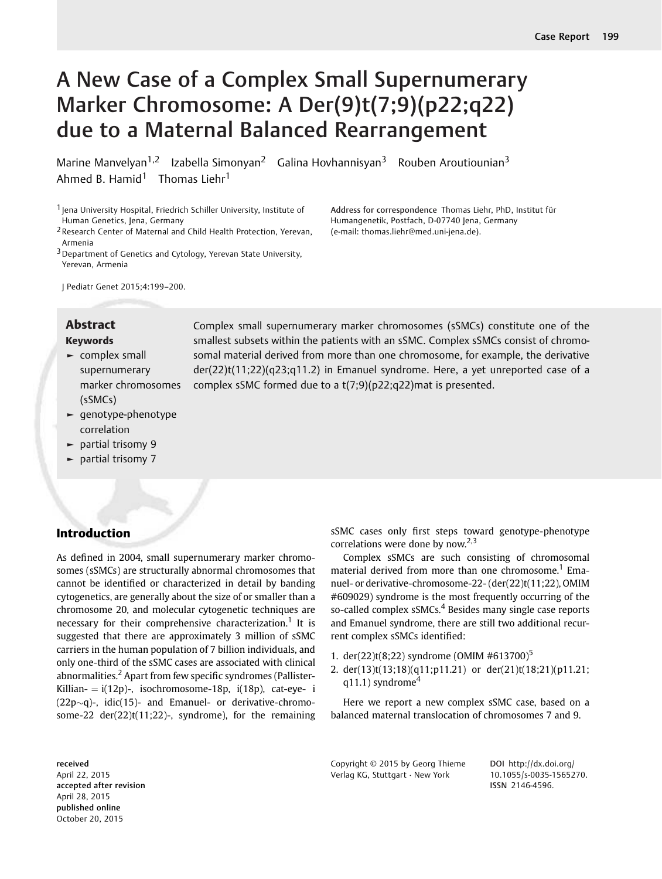# A New Case of a Complex Small Supernumerary Marker Chromosome: A Der(9)t(7;9)(p22;q22) due to a Maternal Balanced Rearrangement

Marine Manvelyan<sup>1,2</sup> Izabella Simonyan<sup>2</sup> Galina Hovhannisyan<sup>3</sup> Rouben Aroutiounian<sup>3</sup> Ahmed B. Hamid<sup>1</sup> Thomas Liehr<sup>1</sup>

1 Jena University Hospital, Friedrich Schiller University, Institute of Human Genetics, Jena, Germany

2Research Center of Maternal and Child Health Protection, Yerevan, Armenia

3Department of Genetics and Cytology, Yerevan State University, Yerevan, Armenia

Address for correspondence Thomas Liehr, PhD, Institut für Humangenetik, Postfach, D-07740 Jena, Germany (e-mail: [thomas.liehr@med.uni-jena.de\)](mailto:thomas.liehr@med.uni-jena.de).

J Pediatr Genet 2015;4:199–200.

#### Keywords

- ► complex small supernumerary marker chromosomes (sSMCs)
- ► genotype-phenotype correlation
- ► partial trisomy 9
- ► partial trisomy 7

## Introduction

As defined in 2004, small supernumerary marker chromosomes (sSMCs) are structurally abnormal chromosomes that cannot be identified or characterized in detail by banding cytogenetics, are generally about the size of or smaller than a chromosome 20, and molecular cytogenetic techniques are necessary for their comprehensive characterization.<sup>1</sup> It is suggested that there are approximately 3 million of sSMC carriers in the human population of 7 billion individuals, and only one-third of the sSMC cases are associated with clinical abnormalities.<sup>2</sup> Apart from few specific syndromes (Pallister-Killian-  $=$  i(12p)-, isochromosome-18p, i(18p), cat-eye- i  $(22p\sim q)$ -,  $idic(15)$ - and Emanuel- or derivative-chromosome-22 der(22)t(11;22)-, syndrome), for the remaining

**Abstract** Complex small supernumerary marker chromosomes (sSMCs) constitute one of the smallest subsets within the patients with an sSMC. Complex sSMCs consist of chromosomal material derived from more than one chromosome, for example, the derivative der(22)t(11;22)(q23;q11.2) in Emanuel syndrome. Here, a yet unreported case of a complex sSMC formed due to a t(7;9)(p22;q22)mat is presented.

> sSMC cases only first steps toward genotype-phenotype correlations were done by now.<sup>2,3</sup>

> Complex sSMCs are such consisting of chromosomal material derived from more than one chromosome.<sup>1</sup> Emanuel- or derivative-chromosome-22- (der(22)t(11;22), OMIM #609029) syndrome is the most frequently occurring of the so-called complex sSMCs.<sup>4</sup> Besides many single case reports and Emanuel syndrome, there are still two additional recurrent complex sSMCs identified:

- 1. der(22)t(8;22) syndrome (OMIM #613700)<sup>5</sup>
- 2. der(13)t(13;18)(q11;p11.21) or der(21)t(18;21)(p11.21;  $q11.1$ ) syndrome<sup>4</sup>

Here we report a new complex sSMC case, based on a balanced maternal translocation of chromosomes 7 and 9.

received April 22, 2015 accepted after revision April 28, 2015 published online October 20, 2015

Copyright © 2015 by Georg Thieme Verlag KG, Stuttgart · New York

DOI [http://dx.doi.org/](http://dx.doi.org/10.1055/s-0035-1565270) [10.1055/s-0035-1565270.](http://dx.doi.org/10.1055/s-0035-1565270) ISSN 2146-4596.